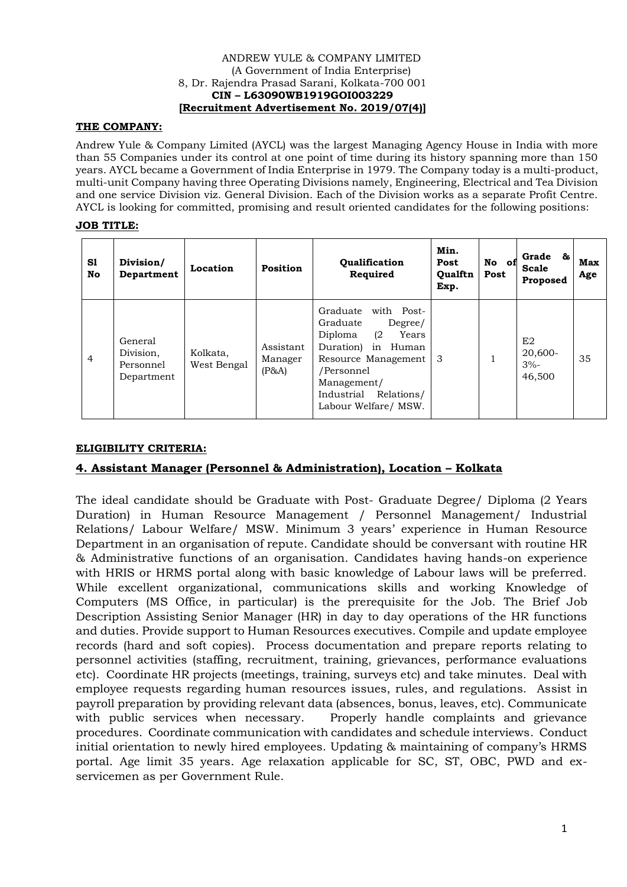#### ANDREW YULE & COMPANY LIMITED (A Government of India Enterprise) 8, Dr. Rajendra Prasad Sarani, Kolkata-700 001 **CIN – L63090WB1919GOI003229 [Recruitment Advertisement No. 2019/07(4)]**

## **THE COMPANY:**

Andrew Yule & Company Limited (AYCL) was the largest Managing Agency House in India with more than 55 Companies under its control at one point of time during its history spanning more than 150 years. AYCL became a Government of India Enterprise in 1979. The Company today is a multi-product, multi-unit Company having three Operating Divisions namely, Engineering, Electrical and Tea Division and one service Division viz. General Division. Each of the Division works as a separate Profit Centre. AYCL is looking for committed, promising and result oriented candidates for the following positions:

## **JOB TITLE:**

| S1<br>No | Division/<br>Department                         | Location                | Position                      | <b>Oualification</b><br>Required                                                                                                                                                                             | Min.<br>Post<br>Qualftn<br>Exp. | No of<br>Post | Grade &<br>Scale<br>Proposed      | <b>Max</b><br>Age |
|----------|-------------------------------------------------|-------------------------|-------------------------------|--------------------------------------------------------------------------------------------------------------------------------------------------------------------------------------------------------------|---------------------------------|---------------|-----------------------------------|-------------------|
| 4        | General<br>Division,<br>Personnel<br>Department | Kolkata,<br>West Bengal | Assistant<br>Manager<br>(P&A) | Graduate<br>with Post-<br>Graduate<br>Degree/<br>Diploma<br>(2)<br>Years<br>in<br>Duration)<br>Human<br>Resource Management<br>/Personnel<br>Management/<br>Industrial<br>Relations/<br>Labour Welfare/ MSW. | 3                               |               | E2<br>20,600-<br>$3% -$<br>46,500 | 35                |

## **ELIGIBILITY CRITERIA:**

# **4. Assistant Manager (Personnel & Administration), Location – Kolkata**

The ideal candidate should be Graduate with Post- Graduate Degree/ Diploma (2 Years Duration) in Human Resource Management / Personnel Management/ Industrial Relations/ Labour Welfare/ MSW. Minimum 3 years' experience in Human Resource Department in an organisation of repute. Candidate should be conversant with routine HR & Administrative functions of an organisation. Candidates having hands-on experience with HRIS or HRMS portal along with basic knowledge of Labour laws will be preferred. While excellent organizational, communications skills and working Knowledge of Computers (MS Office, in particular) is the prerequisite for the Job. The Brief Job Description Assisting Senior Manager (HR) in day to day operations of the HR functions and duties. Provide support to Human Resources executives. Compile and update employee records (hard and soft copies). Process documentation and prepare reports relating to personnel activities (staffing, recruitment, training, grievances, performance evaluations etc). Coordinate HR projects (meetings, training, surveys etc) and take minutes. Deal with employee requests regarding human resources issues, rules, and regulations. Assist in payroll preparation by providing relevant data (absences, bonus, leaves, etc). Communicate with public services when necessary. Properly handle complaints and grievance procedures. Coordinate communication with candidates and schedule interviews. Conduct initial orientation to newly hired employees. Updating & maintaining of company's HRMS portal. Age limit 35 years. Age relaxation applicable for SC, ST, OBC, PWD and exservicemen as per Government Rule.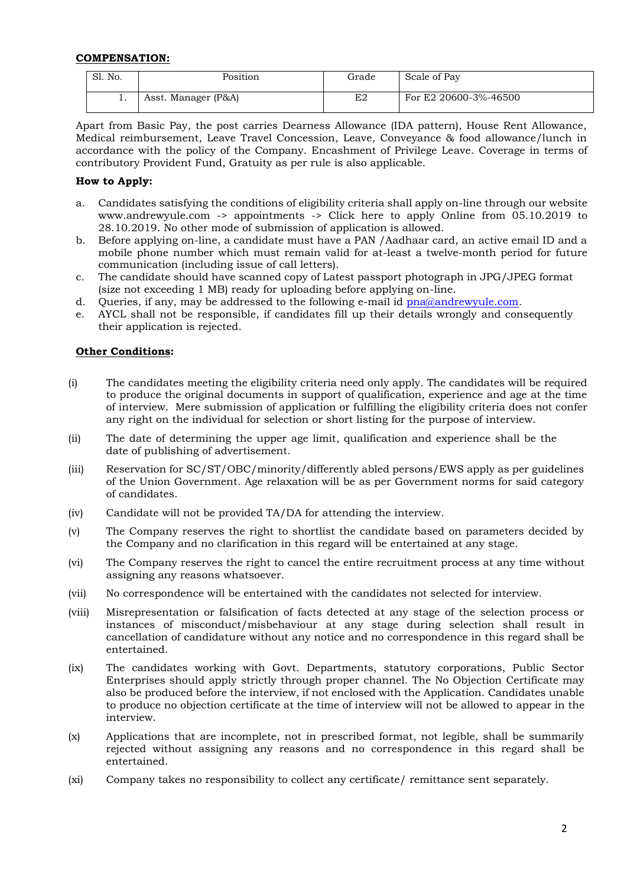#### **COMPENSATION:**

| Sl. No. | Position            | Grade | Scale of Pay          |
|---------|---------------------|-------|-----------------------|
| . .     | Asst. Manager (P&A) | E2    | For E2 20600-3%-46500 |

Apart from Basic Pay, the post carries Dearness Allowance (IDA pattern), House Rent Allowance, Medical reimbursement, Leave Travel Concession, Leave, Conveyance & food allowance/lunch in accordance with the policy of the Company. Encashment of Privilege Leave. Coverage in terms of contributory Provident Fund, Gratuity as per rule is also applicable.

#### **How to Apply:**

- a. Candidates satisfying the conditions of eligibility criteria shall apply on-line through our website www.andrewyule.com -> appointments -> Click here to apply Online from 05.10.2019 to 28.10.2019. No other mode of submission of application is allowed.
- b. Before applying on-line, a candidate must have a PAN /Aadhaar card, an active email ID and a mobile phone number which must remain valid for at-least a twelve-month period for future communication (including issue of call letters).
- c. The candidate should have scanned copy of Latest passport photograph in JPG/JPEG format (size not exceeding 1 MB) ready for uploading before applying on-line.
- d. Queries, if any, may be addressed to the following e-mail id [pna@andrewyule.com.](mailto:pna@andrewyule.com)
- e. AYCL shall not be responsible, if candidates fill up their details wrongly and consequently their application is rejected.

#### **Other Conditions:**

- (i) The candidates meeting the eligibility criteria need only apply. The candidates will be required to produce the original documents in support of qualification, experience and age at the time of interview. Mere submission of application or fulfilling the eligibility criteria does not confer any right on the individual for selection or short listing for the purpose of interview.
- (ii) The date of determining the upper age limit, qualification and experience shall be the date of publishing of advertisement.
- (iii) Reservation for SC/ST/OBC/minority/differently abled persons/EWS apply as per guidelines of the Union Government. Age relaxation will be as per Government norms for said category of candidates.
- (iv) Candidate will not be provided TA/DA for attending the interview.
- (v) The Company reserves the right to shortlist the candidate based on parameters decided by the Company and no clarification in this regard will be entertained at any stage.
- (vi) The Company reserves the right to cancel the entire recruitment process at any time without assigning any reasons whatsoever.
- (vii) No correspondence will be entertained with the candidates not selected for interview.
- (viii) Misrepresentation or falsification of facts detected at any stage of the selection process or instances of misconduct/misbehaviour at any stage during selection shall result in cancellation of candidature without any notice and no correspondence in this regard shall be entertained.
- (ix) The candidates working with Govt. Departments, statutory corporations, Public Sector Enterprises should apply strictly through proper channel. The No Objection Certificate may also be produced before the interview, if not enclosed with the Application. Candidates unable to produce no objection certificate at the time of interview will not be allowed to appear in the interview.
- (x) Applications that are incomplete, not in prescribed format, not legible, shall be summarily rejected without assigning any reasons and no correspondence in this regard shall be entertained.
- (xi) Company takes no responsibility to collect any certificate/ remittance sent separately.